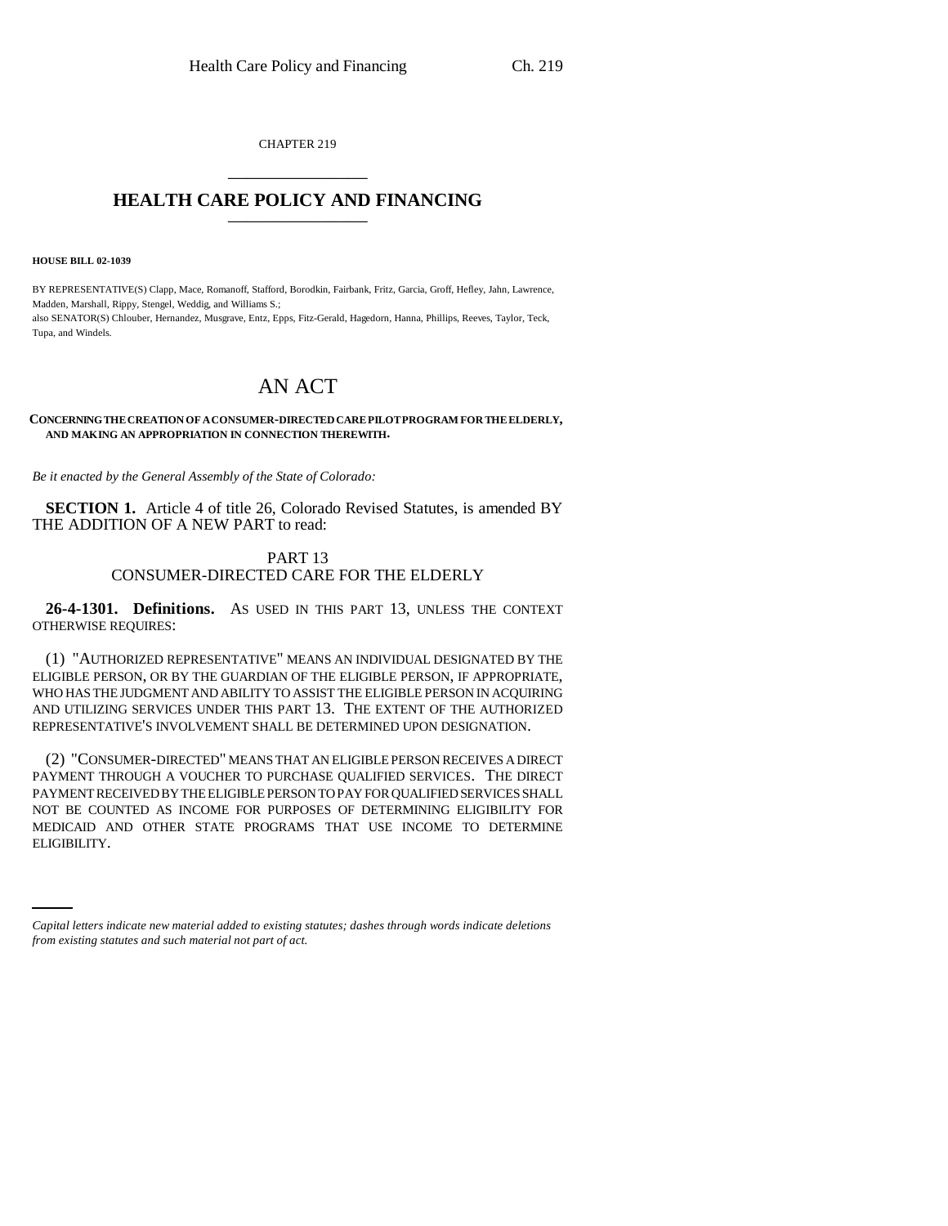CHAPTER 219 \_\_\_\_\_\_\_\_\_\_\_\_\_\_\_

## **HEALTH CARE POLICY AND FINANCING** \_\_\_\_\_\_\_\_\_\_\_\_\_\_\_

**HOUSE BILL 02-1039**

BY REPRESENTATIVE(S) Clapp, Mace, Romanoff, Stafford, Borodkin, Fairbank, Fritz, Garcia, Groff, Hefley, Jahn, Lawrence, Madden, Marshall, Rippy, Stengel, Weddig, and Williams S.; also SENATOR(S) Chlouber, Hernandez, Musgrave, Entz, Epps, Fitz-Gerald, Hagedorn, Hanna, Phillips, Reeves, Taylor, Teck, Tupa, and Windels.

## AN ACT

## **CONCERNING THE CREATION OF A CONSUMER-DIRECTED CARE PILOT PROGRAM FOR THE ELDERLY, AND MAKING AN APPROPRIATION IN CONNECTION THEREWITH.**

*Be it enacted by the General Assembly of the State of Colorado:*

**SECTION 1.** Article 4 of title 26, Colorado Revised Statutes, is amended BY THE ADDITION OF A NEW PART to read:

## PART 13 CONSUMER-DIRECTED CARE FOR THE ELDERLY

**26-4-1301. Definitions.** AS USED IN THIS PART 13, UNLESS THE CONTEXT OTHERWISE REQUIRES:

(1) "AUTHORIZED REPRESENTATIVE" MEANS AN INDIVIDUAL DESIGNATED BY THE ELIGIBLE PERSON, OR BY THE GUARDIAN OF THE ELIGIBLE PERSON, IF APPROPRIATE, WHO HAS THE JUDGMENT AND ABILITY TO ASSIST THE ELIGIBLE PERSON IN ACQUIRING AND UTILIZING SERVICES UNDER THIS PART 13. THE EXTENT OF THE AUTHORIZED REPRESENTATIVE'S INVOLVEMENT SHALL BE DETERMINED UPON DESIGNATION.

MEDICAID AND OTHER STATE PROGRAMS THAT USE INCOME TO DETERMINE (2) "CONSUMER-DIRECTED" MEANS THAT AN ELIGIBLE PERSON RECEIVES A DIRECT PAYMENT THROUGH A VOUCHER TO PURCHASE QUALIFIED SERVICES. THE DIRECT PAYMENT RECEIVED BY THE ELIGIBLE PERSON TO PAY FOR QUALIFIED SERVICES SHALL NOT BE COUNTED AS INCOME FOR PURPOSES OF DETERMINING ELIGIBILITY FOR ELIGIBILITY.

*Capital letters indicate new material added to existing statutes; dashes through words indicate deletions from existing statutes and such material not part of act.*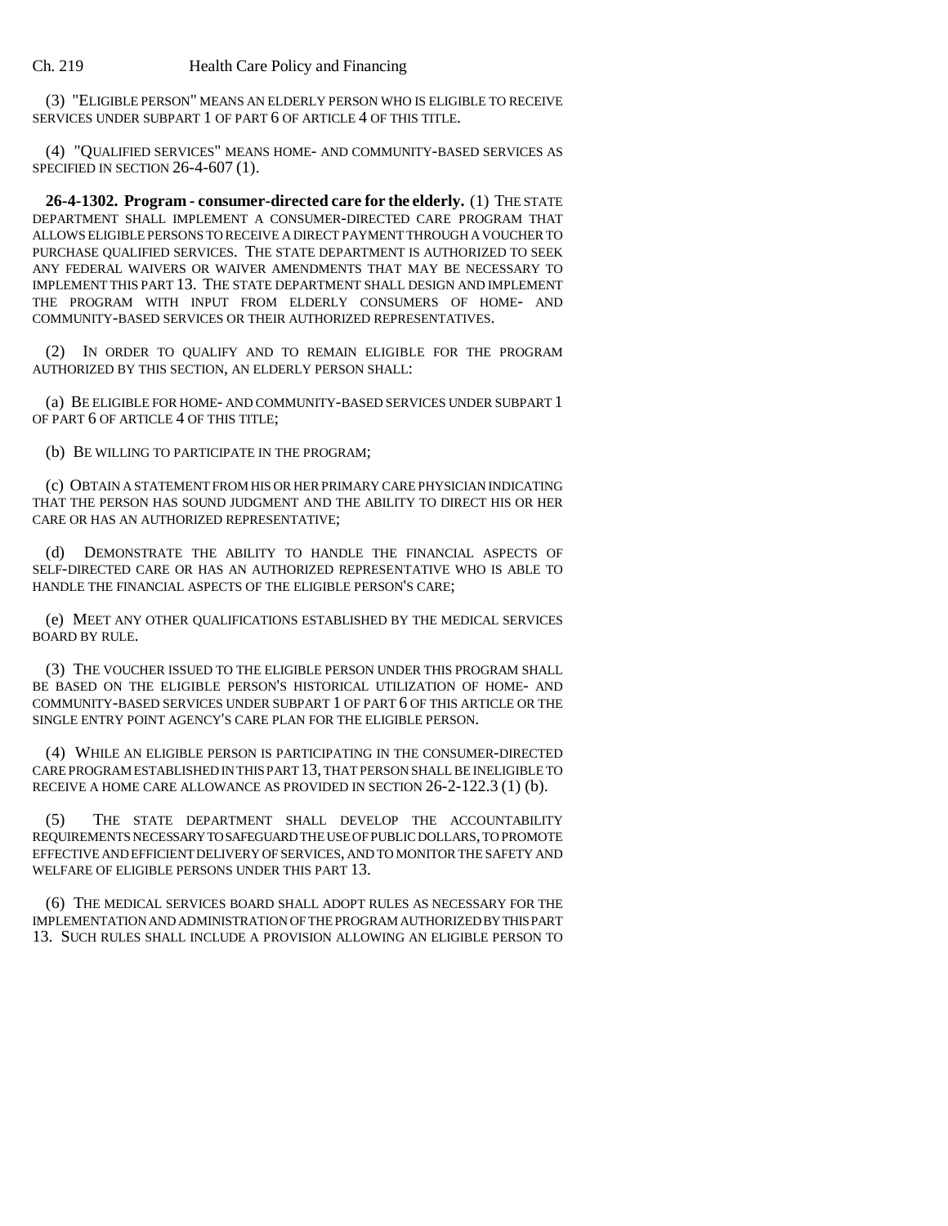(3) "ELIGIBLE PERSON" MEANS AN ELDERLY PERSON WHO IS ELIGIBLE TO RECEIVE SERVICES UNDER SUBPART 1 OF PART 6 OF ARTICLE 4 OF THIS TITLE.

(4) "QUALIFIED SERVICES" MEANS HOME- AND COMMUNITY-BASED SERVICES AS SPECIFIED IN SECTION 26-4-607 (1).

**26-4-1302. Program - consumer-directed care for the elderly.** (1) THE STATE DEPARTMENT SHALL IMPLEMENT A CONSUMER-DIRECTED CARE PROGRAM THAT ALLOWS ELIGIBLE PERSONS TO RECEIVE A DIRECT PAYMENT THROUGH A VOUCHER TO PURCHASE QUALIFIED SERVICES. THE STATE DEPARTMENT IS AUTHORIZED TO SEEK ANY FEDERAL WAIVERS OR WAIVER AMENDMENTS THAT MAY BE NECESSARY TO IMPLEMENT THIS PART 13. THE STATE DEPARTMENT SHALL DESIGN AND IMPLEMENT THE PROGRAM WITH INPUT FROM ELDERLY CONSUMERS OF HOME- AND COMMUNITY-BASED SERVICES OR THEIR AUTHORIZED REPRESENTATIVES.

(2) IN ORDER TO QUALIFY AND TO REMAIN ELIGIBLE FOR THE PROGRAM AUTHORIZED BY THIS SECTION, AN ELDERLY PERSON SHALL:

(a) BE ELIGIBLE FOR HOME- AND COMMUNITY-BASED SERVICES UNDER SUBPART 1 OF PART 6 OF ARTICLE 4 OF THIS TITLE;

(b) BE WILLING TO PARTICIPATE IN THE PROGRAM;

(c) OBTAIN A STATEMENT FROM HIS OR HER PRIMARY CARE PHYSICIAN INDICATING THAT THE PERSON HAS SOUND JUDGMENT AND THE ABILITY TO DIRECT HIS OR HER CARE OR HAS AN AUTHORIZED REPRESENTATIVE;

(d) DEMONSTRATE THE ABILITY TO HANDLE THE FINANCIAL ASPECTS OF SELF-DIRECTED CARE OR HAS AN AUTHORIZED REPRESENTATIVE WHO IS ABLE TO HANDLE THE FINANCIAL ASPECTS OF THE ELIGIBLE PERSON'S CARE;

(e) MEET ANY OTHER QUALIFICATIONS ESTABLISHED BY THE MEDICAL SERVICES BOARD BY RULE.

(3) THE VOUCHER ISSUED TO THE ELIGIBLE PERSON UNDER THIS PROGRAM SHALL BE BASED ON THE ELIGIBLE PERSON'S HISTORICAL UTILIZATION OF HOME- AND COMMUNITY-BASED SERVICES UNDER SUBPART 1 OF PART 6 OF THIS ARTICLE OR THE SINGLE ENTRY POINT AGENCY'S CARE PLAN FOR THE ELIGIBLE PERSON.

(4) WHILE AN ELIGIBLE PERSON IS PARTICIPATING IN THE CONSUMER-DIRECTED CARE PROGRAM ESTABLISHED IN THIS PART 13, THAT PERSON SHALL BE INELIGIBLE TO RECEIVE A HOME CARE ALLOWANCE AS PROVIDED IN SECTION 26-2-122.3 (1) (b).

(5) THE STATE DEPARTMENT SHALL DEVELOP THE ACCOUNTABILITY REQUIREMENTS NECESSARY TO SAFEGUARD THE USE OF PUBLIC DOLLARS, TO PROMOTE EFFECTIVE AND EFFICIENT DELIVERY OF SERVICES, AND TO MONITOR THE SAFETY AND WELFARE OF ELIGIBLE PERSONS UNDER THIS PART 13.

(6) THE MEDICAL SERVICES BOARD SHALL ADOPT RULES AS NECESSARY FOR THE IMPLEMENTATION AND ADMINISTRATION OF THE PROGRAM AUTHORIZED BY THIS PART 13. SUCH RULES SHALL INCLUDE A PROVISION ALLOWING AN ELIGIBLE PERSON TO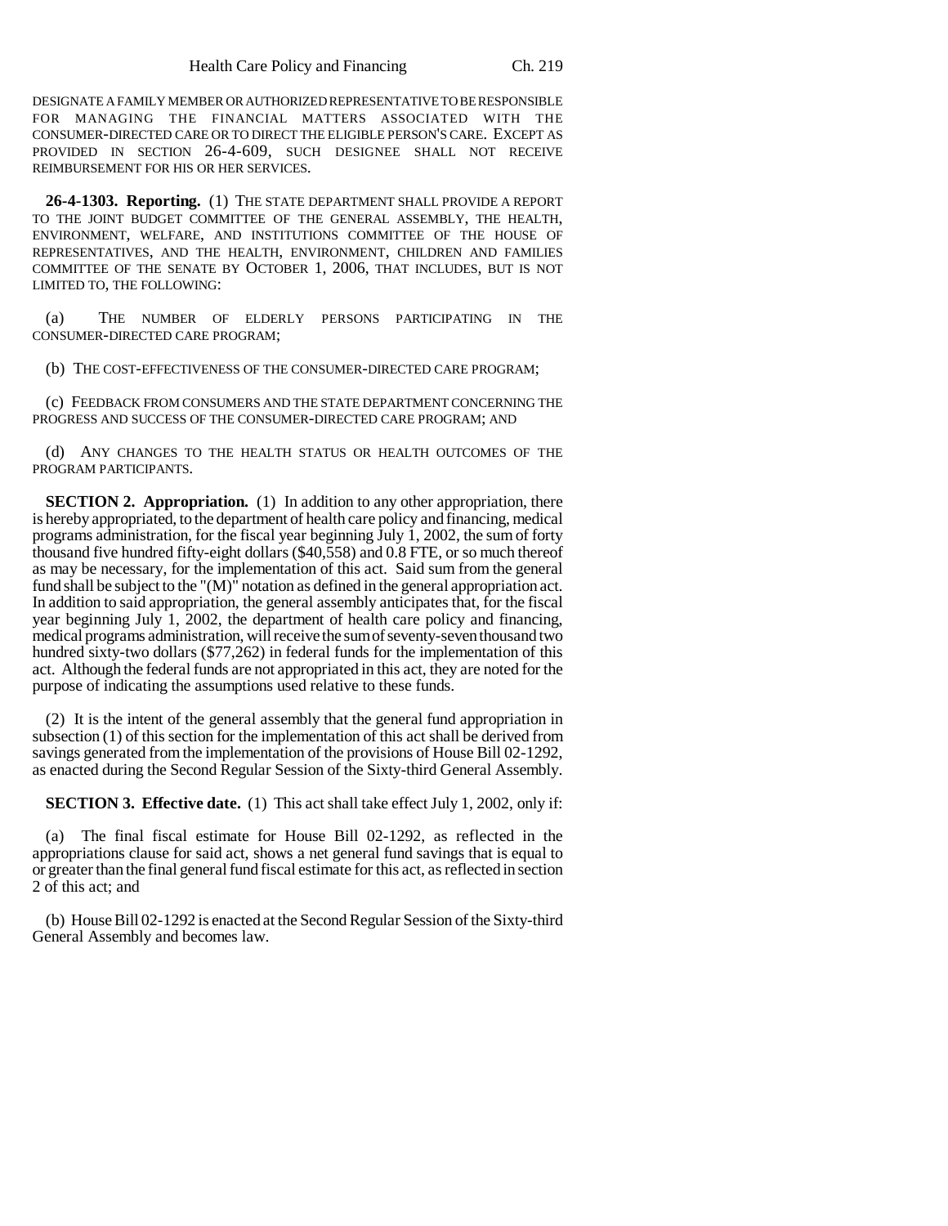DESIGNATE A FAMILY MEMBER OR AUTHORIZED REPRESENTATIVE TO BE RESPONSIBLE FOR MANAGING THE FINANCIAL MATTERS ASSOCIATED WITH THE CONSUMER-DIRECTED CARE OR TO DIRECT THE ELIGIBLE PERSON'S CARE. EXCEPT AS PROVIDED IN SECTION 26-4-609, SUCH DESIGNEE SHALL NOT RECEIVE REIMBURSEMENT FOR HIS OR HER SERVICES.

**26-4-1303. Reporting.** (1) THE STATE DEPARTMENT SHALL PROVIDE A REPORT TO THE JOINT BUDGET COMMITTEE OF THE GENERAL ASSEMBLY, THE HEALTH, ENVIRONMENT, WELFARE, AND INSTITUTIONS COMMITTEE OF THE HOUSE OF REPRESENTATIVES, AND THE HEALTH, ENVIRONMENT, CHILDREN AND FAMILIES COMMITTEE OF THE SENATE BY OCTOBER 1, 2006, THAT INCLUDES, BUT IS NOT LIMITED TO, THE FOLLOWING:

(a) THE NUMBER OF ELDERLY PERSONS PARTICIPATING IN THE CONSUMER-DIRECTED CARE PROGRAM;

(b) THE COST-EFFECTIVENESS OF THE CONSUMER-DIRECTED CARE PROGRAM;

(c) FEEDBACK FROM CONSUMERS AND THE STATE DEPARTMENT CONCERNING THE PROGRESS AND SUCCESS OF THE CONSUMER-DIRECTED CARE PROGRAM; AND

(d) ANY CHANGES TO THE HEALTH STATUS OR HEALTH OUTCOMES OF THE PROGRAM PARTICIPANTS.

**SECTION 2. Appropriation.** (1) In addition to any other appropriation, there is hereby appropriated, to the department of health care policy and financing, medical programs administration, for the fiscal year beginning July 1, 2002, the sum of forty thousand five hundred fifty-eight dollars (\$40,558) and 0.8 FTE, or so much thereof as may be necessary, for the implementation of this act. Said sum from the general fund shall be subject to the " $(M)$ " notation as defined in the general appropriation act. In addition to said appropriation, the general assembly anticipates that, for the fiscal year beginning July 1, 2002, the department of health care policy and financing, medical programs administration, will receive the sum of seventy-seven thousand two hundred sixty-two dollars (\$77,262) in federal funds for the implementation of this act. Although the federal funds are not appropriated in this act, they are noted for the purpose of indicating the assumptions used relative to these funds.

(2) It is the intent of the general assembly that the general fund appropriation in subsection (1) of this section for the implementation of this act shall be derived from savings generated from the implementation of the provisions of House Bill 02-1292, as enacted during the Second Regular Session of the Sixty-third General Assembly.

**SECTION 3. Effective date.** (1) This act shall take effect July 1, 2002, only if:

The final fiscal estimate for House Bill 02-1292, as reflected in the appropriations clause for said act, shows a net general fund savings that is equal to or greater than the final general fund fiscal estimate for this act, as reflected in section 2 of this act; and

(b) House Bill 02-1292 is enacted at the Second Regular Session of the Sixty-third General Assembly and becomes law.